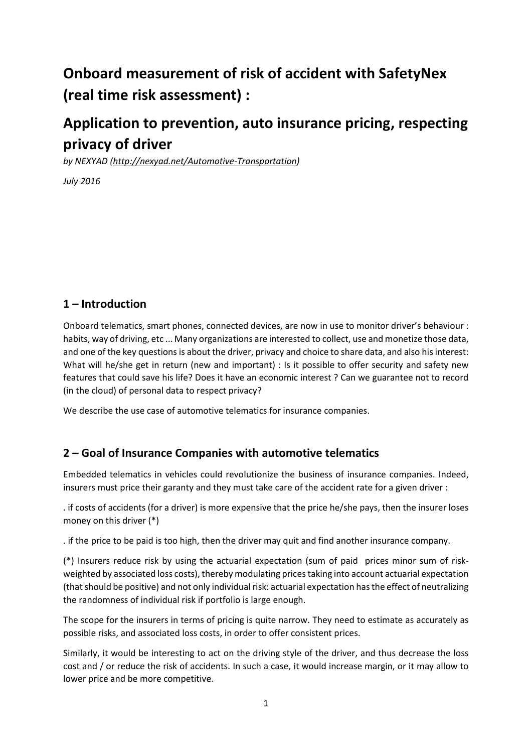# **Onboard measurement of risk of accident with SafetyNex (real time risk assessment) :**

# **Application to prevention, auto insurance pricing, respecting privacy of driver**

*by NEXYAD [\(http://nexyad.net/Automotive-Transportation\)](http://nexyad.net/Automotive-Transportation)*

*July 2016*

## **1 – Introduction**

Onboard telematics, smart phones, connected devices, are now in use to monitor driver's behaviour : habits, way of driving, etc ... Many organizations are interested to collect, use and monetize those data, and one of the key questions is about the driver, privacy and choice to share data, and also his interest: What will he/she get in return (new and important) : Is it possible to offer security and safety new features that could save his life? Does it have an economic interest ? Can we guarantee not to record (in the cloud) of personal data to respect privacy?

We describe the use case of automotive telematics for insurance companies.

### **2 – Goal of Insurance Companies with automotive telematics**

Embedded telematics in vehicles could revolutionize the business of insurance companies. Indeed, insurers must price their garanty and they must take care of the accident rate for a given driver :

. if costs of accidents (for a driver) is more expensive that the price he/she pays, then the insurer loses money on this driver (\*)

. if the price to be paid is too high, then the driver may quit and find another insurance company.

(\*) Insurers reduce risk by using the actuarial expectation (sum of paid prices minor sum of riskweighted by associated loss costs), thereby modulating pricestaking into account actuarial expectation (that should be positive) and not only individual risk: actuarial expectation has the effect of neutralizing the randomness of individual risk if portfolio is large enough.

The scope for the insurers in terms of pricing is quite narrow. They need to estimate as accurately as possible risks, and associated loss costs, in order to offer consistent prices.

Similarly, it would be interesting to act on the driving style of the driver, and thus decrease the loss cost and / or reduce the risk of accidents. In such a case, it would increase margin, or it may allow to lower price and be more competitive.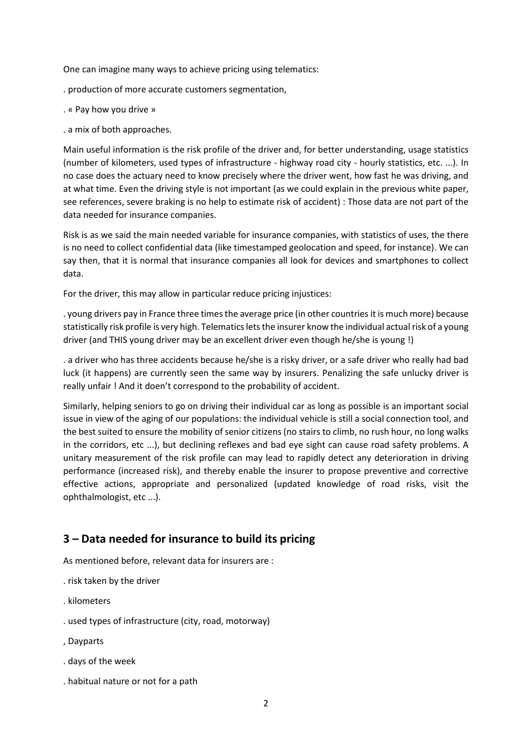One can imagine many ways to achieve pricing using telematics:

- . production of more accurate customers segmentation,
- . « Pay how you drive »
- . a mix of both approaches.

Main useful information is the risk profile of the driver and, for better understanding, usage statistics (number of kilometers, used types of infrastructure - highway road city - hourly statistics, etc. ...). In no case does the actuary need to know precisely where the driver went, how fast he was driving, and at what time. Even the driving style is not important (as we could explain in the previous white paper, see references, severe braking is no help to estimate risk of accident) : Those data are not part of the data needed for insurance companies.

Risk is as we said the main needed variable for insurance companies, with statistics of uses, the there is no need to collect confidential data (like timestamped geolocation and speed, for instance). We can say then, that it is normal that insurance companies all look for devices and smartphones to collect data.

For the driver, this may allow in particular reduce pricing injustices:

. young drivers pay in France three times the average price (in other countries it is much more) because statistically risk profile is very high. Telematics lets the insurer know the individual actual risk of a young driver (and THIS young driver may be an excellent driver even though he/she is young !)

. a driver who has three accidents because he/she is a risky driver, or a safe driver who really had bad luck (it happens) are currently seen the same way by insurers. Penalizing the safe unlucky driver is really unfair ! And it doen't correspond to the probability of accident.

Similarly, helping seniors to go on driving their individual car as long as possible is an important social issue in view of the aging of our populations: the individual vehicle is still a social connection tool, and the best suited to ensure the mobility of senior citizens (no stairs to climb, no rush hour, no long walks in the corridors, etc ...), but declining reflexes and bad eye sight can cause road safety problems. A unitary measurement of the risk profile can may lead to rapidly detect any deterioration in driving performance (increased risk), and thereby enable the insurer to propose preventive and corrective effective actions, appropriate and personalized (updated knowledge of road risks, visit the ophthalmologist, etc ...).

#### **3 – Data needed for insurance to build its pricing**

As mentioned before, relevant data for insurers are :

- . risk taken by the driver
- . kilometers
- . used types of infrastructure (city, road, motorway)
- , Dayparts
- . days of the week
- . habitual nature or not for a path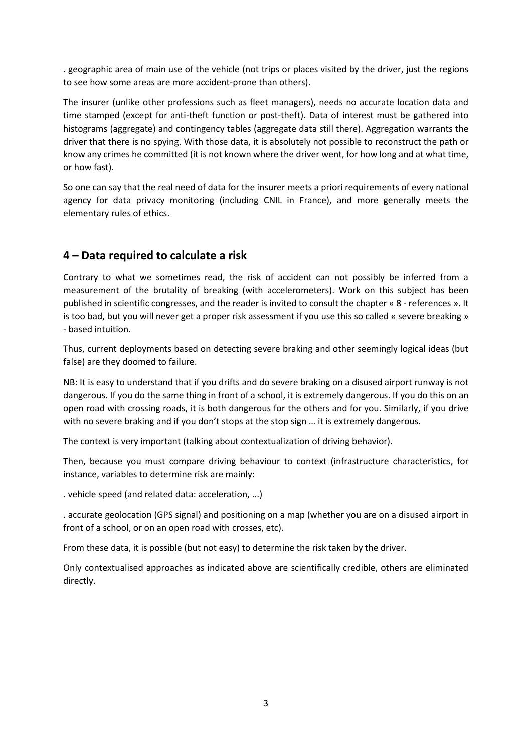. geographic area of main use of the vehicle (not trips or places visited by the driver, just the regions to see how some areas are more accident-prone than others).

The insurer (unlike other professions such as fleet managers), needs no accurate location data and time stamped (except for anti-theft function or post-theft). Data of interest must be gathered into histograms (aggregate) and contingency tables (aggregate data still there). Aggregation warrants the driver that there is no spying. With those data, it is absolutely not possible to reconstruct the path or know any crimes he committed (it is not known where the driver went, for how long and at what time, or how fast).

So one can say that the real need of data for the insurer meets a priori requirements of every national agency for data privacy monitoring (including CNIL in France), and more generally meets the elementary rules of ethics.

### **4 – Data required to calculate a risk**

Contrary to what we sometimes read, the risk of accident can not possibly be inferred from a measurement of the brutality of breaking (with accelerometers). Work on this subject has been published in scientific congresses, and the reader is invited to consult the chapter « 8 - references ». It is too bad, but you will never get a proper risk assessment if you use this so called « severe breaking » - based intuition.

Thus, current deployments based on detecting severe braking and other seemingly logical ideas (but false) are they doomed to failure.

NB: It is easy to understand that if you drifts and do severe braking on a disused airport runway is not dangerous. If you do the same thing in front of a school, it is extremely dangerous. If you do this on an open road with crossing roads, it is both dangerous for the others and for you. Similarly, if you drive with no severe braking and if you don't stops at the stop sign … it is extremely dangerous.

The context is very important (talking about contextualization of driving behavior).

Then, because you must compare driving behaviour to context (infrastructure characteristics, for instance, variables to determine risk are mainly:

. vehicle speed (and related data: acceleration, ...)

. accurate geolocation (GPS signal) and positioning on a map (whether you are on a disused airport in front of a school, or on an open road with crosses, etc).

From these data, it is possible (but not easy) to determine the risk taken by the driver.

Only contextualised approaches as indicated above are scientifically credible, others are eliminated directly.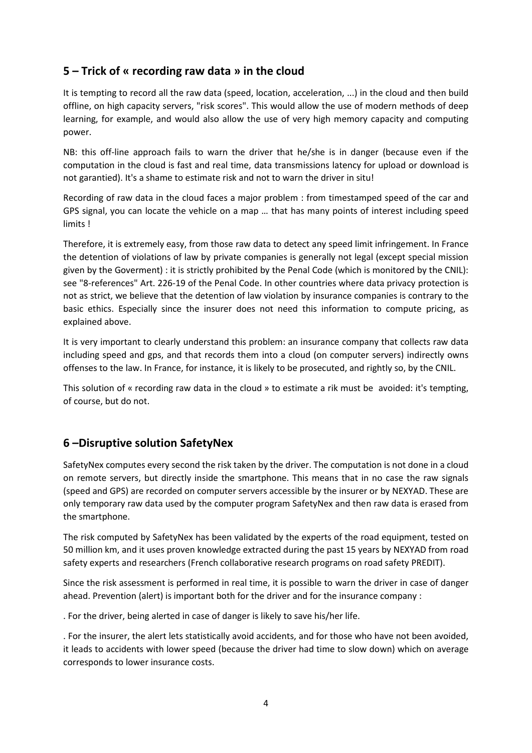## **5 – Trick of « recording raw data » in the cloud**

It is tempting to record all the raw data (speed, location, acceleration, ...) in the cloud and then build offline, on high capacity servers, "risk scores". This would allow the use of modern methods of deep learning, for example, and would also allow the use of very high memory capacity and computing power.

NB: this off-line approach fails to warn the driver that he/she is in danger (because even if the computation in the cloud is fast and real time, data transmissions latency for upload or download is not garantied). It's a shame to estimate risk and not to warn the driver in situ!

Recording of raw data in the cloud faces a major problem : from timestamped speed of the car and GPS signal, you can locate the vehicle on a map … that has many points of interest including speed limits !

Therefore, it is extremely easy, from those raw data to detect any speed limit infringement. In France the detention of violations of law by private companies is generally not legal (except special mission given by the Goverment) : it is strictly prohibited by the Penal Code (which is monitored by the CNIL): see "8-references" Art. 226-19 of the Penal Code. In other countries where data privacy protection is not as strict, we believe that the detention of law violation by insurance companies is contrary to the basic ethics. Especially since the insurer does not need this information to compute pricing, as explained above.

It is very important to clearly understand this problem: an insurance company that collects raw data including speed and gps, and that records them into a cloud (on computer servers) indirectly owns offenses to the law. In France, for instance, it is likely to be prosecuted, and rightly so, by the CNIL.

This solution of « recording raw data in the cloud » to estimate a rik must be avoided: it's tempting, of course, but do not.

### **6 –Disruptive solution SafetyNex**

SafetyNex computes every second the risk taken by the driver. The computation is not done in a cloud on remote servers, but directly inside the smartphone. This means that in no case the raw signals (speed and GPS) are recorded on computer servers accessible by the insurer or by NEXYAD. These are only temporary raw data used by the computer program SafetyNex and then raw data is erased from the smartphone.

The risk computed by SafetyNex has been validated by the experts of the road equipment, tested on 50 million km, and it uses proven knowledge extracted during the past 15 years by NEXYAD from road safety experts and researchers (French collaborative research programs on road safety PREDIT).

Since the risk assessment is performed in real time, it is possible to warn the driver in case of danger ahead. Prevention (alert) is important both for the driver and for the insurance company :

. For the driver, being alerted in case of danger is likely to save his/her life.

. For the insurer, the alert lets statistically avoid accidents, and for those who have not been avoided, it leads to accidents with lower speed (because the driver had time to slow down) which on average corresponds to lower insurance costs.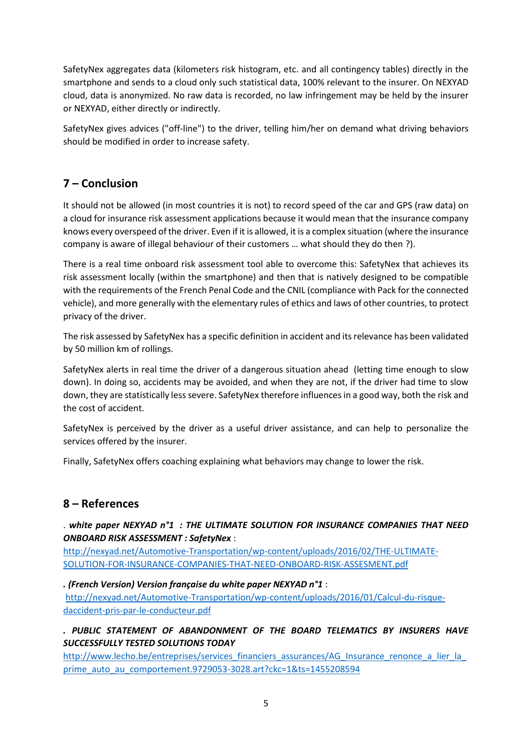SafetyNex aggregates data (kilometers risk histogram, etc. and all contingency tables) directly in the smartphone and sends to a cloud only such statistical data, 100% relevant to the insurer. On NEXYAD cloud, data is anonymized. No raw data is recorded, no law infringement may be held by the insurer or NEXYAD, either directly or indirectly.

SafetyNex gives advices ("off-line") to the driver, telling him/her on demand what driving behaviors should be modified in order to increase safety.

### **7 – Conclusion**

It should not be allowed (in most countries it is not) to record speed of the car and GPS (raw data) on a cloud for insurance risk assessment applications because it would mean that the insurance company knows every overspeed of the driver. Even if it is allowed, it is a complex situation (where the insurance company is aware of illegal behaviour of their customers … what should they do then ?).

There is a real time onboard risk assessment tool able to overcome this: SafetyNex that achieves its risk assessment locally (within the smartphone) and then that is natively designed to be compatible with the requirements of the French Penal Code and the CNIL (compliance with Pack for the connected vehicle), and more generally with the elementary rules of ethics and laws of other countries, to protect privacy of the driver.

The risk assessed by SafetyNex has a specific definition in accident and its relevance has been validated by 50 million km of rollings.

SafetyNex alerts in real time the driver of a dangerous situation ahead (letting time enough to slow down). In doing so, accidents may be avoided, and when they are not, if the driver had time to slow down, they are statistically less severe. SafetyNex therefore influences in a good way, both the risk and the cost of accident.

SafetyNex is perceived by the driver as a useful driver assistance, and can help to personalize the services offered by the insurer.

Finally, SafetyNex offers coaching explaining what behaviors may change to lower the risk.

### **8 – References**

. *white paper NEXYAD n°1 : THE ULTIMATE SOLUTION FOR INSURANCE COMPANIES THAT NEED ONBOARD RISK ASSESSMENT : SafetyNex* :

[http://nexyad.net/Automotive-Transportation/wp-content/uploads/2016/02/THE-ULTIMATE-](http://nexyad.net/Automotive-Transportation/wp-content/uploads/2016/02/THE-ULTIMATE-SOLUTION-FOR-INSURANCE-COMPANIES-THAT-NEED-ONBOARD-RISK-ASSESMENT.pdf)[SOLUTION-FOR-INSURANCE-COMPANIES-THAT-NEED-ONBOARD-RISK-ASSESMENT.pdf](http://nexyad.net/Automotive-Transportation/wp-content/uploads/2016/02/THE-ULTIMATE-SOLUTION-FOR-INSURANCE-COMPANIES-THAT-NEED-ONBOARD-RISK-ASSESMENT.pdf)

*. (French Version) Version française du white paper NEXYAD n°1* :

[http://nexyad.net/Automotive-Transportation/wp-content/uploads/2016/01/Calcul-du-risque](http://nexyad.net/Automotive-Transportation/wp-content/uploads/2016/01/Calcul-du-risque-daccident-pris-par-le-conducteur.pdf)[daccident-pris-par-le-conducteur.pdf](http://nexyad.net/Automotive-Transportation/wp-content/uploads/2016/01/Calcul-du-risque-daccident-pris-par-le-conducteur.pdf)

#### *. PUBLIC STATEMENT OF ABANDONMENT OF THE BOARD TELEMATICS BY INSURERS HAVE SUCCESSFULLY TESTED SOLUTIONS TODAY*

[http://www.lecho.be/entreprises/services\\_financiers\\_assurances/AG\\_Insurance\\_renonce\\_a\\_lier\\_la\\_](http://www.lecho.be/entreprises/services_financiers_assurances/AG_Insurance_renonce_a_lier_la_prime_auto_au_comportement.9729053-3028.art?ckc=1&ts=1455208594) [prime\\_auto\\_au\\_comportement.9729053-3028.art?ckc=1&ts=1455208594](http://www.lecho.be/entreprises/services_financiers_assurances/AG_Insurance_renonce_a_lier_la_prime_auto_au_comportement.9729053-3028.art?ckc=1&ts=1455208594)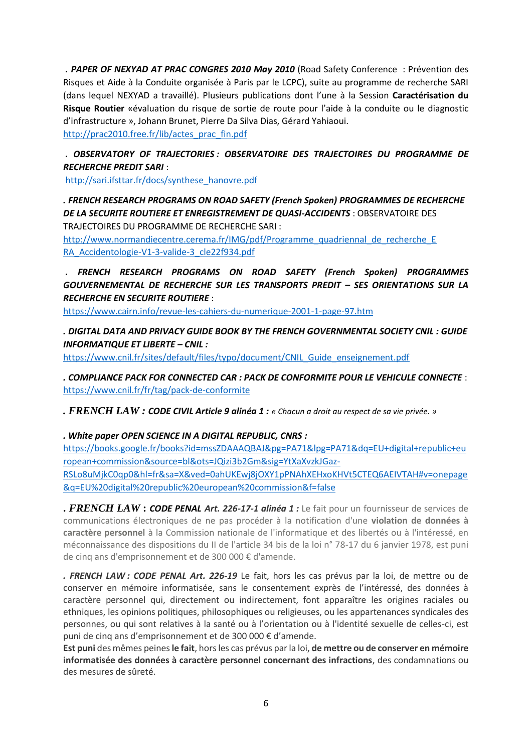*. PAPER OF NEXYAD AT PRAC CONGRES 2010 May 2010* (Road Safety Conference : Prévention des Risques et Aide à la Conduite organisée à Paris par le LCPC), suite au programme de recherche SARI (dans lequel NEXYAD a travaillé). Plusieurs publications dont l'une à la Session **Caractérisation du Risque Routier** «évaluation du risque de sortie de route pour l'aide à la conduite ou le diagnostic d'infrastructure », Johann Brunet, Pierre Da Silva Dias, Gérard Yahiaoui.

[http://prac2010.free.fr/lib/actes\\_prac\\_fin.pdf](http://prac2010.free.fr/lib/actes_prac_fin.pdf)

#### *. OBSERVATORY OF TRAJECTORIES : OBSERVATOIRE DES TRAJECTOIRES DU PROGRAMME DE RECHERCHE PREDIT SARI* :

[http://sari.ifsttar.fr/docs/synthese\\_hanovre.pdf](http://sari.ifsttar.fr/docs/synthese_hanovre.pdf)

*. FRENCH RESEARCH PROGRAMS ON ROAD SAFETY (French Spoken) PROGRAMMES DE RECHERCHE DE LA SECURITE ROUTIERE ET ENREGISTREMENT DE QUASI-ACCIDENTS* : OBSERVATOIRE DES TRAJECTOIRES DU PROGRAMME DE RECHERCHE SARI :

http://www.normandiecentre.cerema.fr/IMG/pdf/Programme\_quadriennal\_de\_recherche\_E [RA\\_Accidentologie-V1-3-valide-3\\_cle22f934.pdf](http://www.normandiecentre.cerema.fr/IMG/pdf/Programme_quadriennal_de_recherche_E%20RA_Accidentologie-V1-3-valide-3_cle22f934.pdf)

*. FRENCH RESEARCH PROGRAMS ON ROAD SAFETY (French Spoken) PROGRAMMES GOUVERNEMENTAL DE RECHERCHE SUR LES TRANSPORTS PREDIT – SES ORIENTATIONS SUR LA RECHERCHE EN SECURITE ROUTIERE* :

<https://www.cairn.info/revue-les-cahiers-du-numerique-2001-1-page-97.htm>

*. DIGITAL DATA AND PRIVACY GUIDE BOOK BY THE FRENCH GOVERNMENTAL SOCIETY CNIL : GUIDE INFORMATIQUE ET LIBERTE – CNIL :*

[https://www.cnil.fr/sites/default/files/typo/document/CNIL\\_Guide\\_enseignement.pdf](https://www.cnil.fr/sites/default/files/typo/document/CNIL_Guide_enseignement.pdf)

*. COMPLIANCE PACK FOR CONNECTED CAR : PACK DE CONFORMITE POUR LE VEHICULE CONNECTE* : <https://www.cnil.fr/fr/tag/pack-de-conformite>

*. FRENCH LAW : CODE CIVIL Article 9 alinéa 1 : « Chacun a droit au respect de sa vie privée. »*

*. White paper OPEN SCIENCE IN A DIGITAL REPUBLIC, CNRS :*

[https://books.google.fr/books?id=mssZDAAAQBAJ&pg=PA71&lpg=PA71&dq=EU+digital+republic+eu](https://books.google.fr/books?id=mssZDAAAQBAJ&pg=PA71&lpg=PA71&dq=EU+digital+republic+european+commission&source=bl&ots=JQizi3b2Gm&sig=YtXaXvzkJGaz-RSLo8uMjkC0qp0&hl=fr&sa=X&ved=0ahUKEwj8jOXY1pPNAhXEHxoKHVt5CTEQ6AEIVTAH#v=onepage&q=EU%20digital%20republic%20european%20commission&f=false) [ropean+commission&source=bl&ots=JQizi3b2Gm&sig=YtXaXvzkJGaz-](https://books.google.fr/books?id=mssZDAAAQBAJ&pg=PA71&lpg=PA71&dq=EU+digital+republic+european+commission&source=bl&ots=JQizi3b2Gm&sig=YtXaXvzkJGaz-RSLo8uMjkC0qp0&hl=fr&sa=X&ved=0ahUKEwj8jOXY1pPNAhXEHxoKHVt5CTEQ6AEIVTAH#v=onepage&q=EU%20digital%20republic%20european%20commission&f=false)

[RSLo8uMjkC0qp0&hl=fr&sa=X&ved=0ahUKEwj8jOXY1pPNAhXEHxoKHVt5CTEQ6AEIVTAH#v=onepage](https://books.google.fr/books?id=mssZDAAAQBAJ&pg=PA71&lpg=PA71&dq=EU+digital+republic+european+commission&source=bl&ots=JQizi3b2Gm&sig=YtXaXvzkJGaz-RSLo8uMjkC0qp0&hl=fr&sa=X&ved=0ahUKEwj8jOXY1pPNAhXEHxoKHVt5CTEQ6AEIVTAH#v=onepage&q=EU%20digital%20republic%20european%20commission&f=false) [&q=EU%20digital%20republic%20european%20commission&f=false](https://books.google.fr/books?id=mssZDAAAQBAJ&pg=PA71&lpg=PA71&dq=EU+digital+republic+european+commission&source=bl&ots=JQizi3b2Gm&sig=YtXaXvzkJGaz-RSLo8uMjkC0qp0&hl=fr&sa=X&ved=0ahUKEwj8jOXY1pPNAhXEHxoKHVt5CTEQ6AEIVTAH#v=onepage&q=EU%20digital%20republic%20european%20commission&f=false)

**.** *FRENCH LAW* **:** *CODE PENAL Art. 226-17-1 alinéa 1 :* Le fait pour un fournisseur de services de communications électroniques de ne pas procéder à la notification d'une **violation de données à caractère personnel** à la Commission nationale de l'informatique et des libertés ou à l'intéressé, en méconnaissance des dispositions du II de l'article 34 bis de la loi n° 78-17 du 6 janvier 1978, est puni de cinq ans d'emprisonnement et de 300 000 € d'amende.

*. FRENCH LAW : CODE PENAL Art. 226-19* Le fait, hors les cas prévus par la loi, de mettre ou de conserver en mémoire informatisée, sans le consentement exprès de l'intéressé, des données à caractère personnel qui, directement ou indirectement, font apparaître les origines raciales ou ethniques, les opinions politiques, philosophiques ou religieuses, ou les appartenances syndicales des personnes, ou qui sont relatives à la santé ou à l'orientation ou à l'identité sexuelle de celles-ci, est puni de cinq ans d'emprisonnement et de 300 000 € d'amende.

**Est puni** des mêmes peines **le fait**, hors les cas prévus par la loi, **de mettre ou de conserver en mémoire informatisée des données à caractère personnel concernant des infractions**, des condamnations ou des mesures de sûreté.